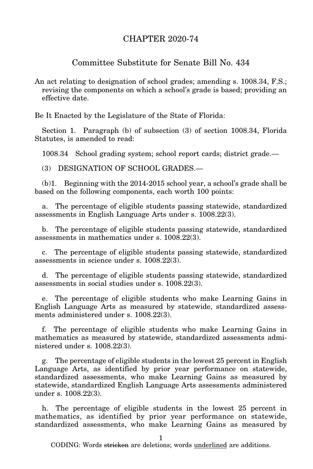## CHAPTER 2020-74

## Committee Substitute for Senate Bill No. 434

An act relating to designation of school grades; amending s. 1008.34, F.S.; revising the components on which a school's grade is based; providing an effective date.

Be It Enacted by the Legislature of the State of Florida:

Section 1. Paragraph (b) of subsection (3) of section 1008.34, Florida Statutes, is amended to read:

1008.34 School grading system; school report cards; district grade.—

(3) DESIGNATION OF SCHOOL GRADES.—

(b)1. Beginning with the 2014-2015 school year, a school's grade shall be based on the following components, each worth 100 points:

a. The percentage of eligible students passing statewide, standardized assessments in English Language Arts under s. 1008.22(3).

b. The percentage of eligible students passing statewide, standardized assessments in mathematics under s. 1008.22(3).

c. The percentage of eligible students passing statewide, standardized assessments in science under s. 1008.22(3).

d. The percentage of eligible students passing statewide, standardized assessments in social studies under s. 1008.22(3).

The percentage of eligible students who make Learning Gains in English Language Arts as measured by statewide, standardized assessments administered under s. 1008.22(3).

f. The percentage of eligible students who make Learning Gains in mathematics as measured by statewide, standardized assessments administered under s. 1008.22(3).

g. The percentage of eligible students in the lowest 25 percent in English Language Arts, as identified by prior year performance on statewide, standardized assessments, who make Learning Gains as measured by statewide, standardized English Language Arts assessments administered under s. 1008.22(3).

h. The percentage of eligible students in the lowest 25 percent in mathematics, as identified by prior year performance on statewide, standardized assessments, who make Learning Gains as measured by

CODING: Words stricken are deletions; words underlined are additions.

1